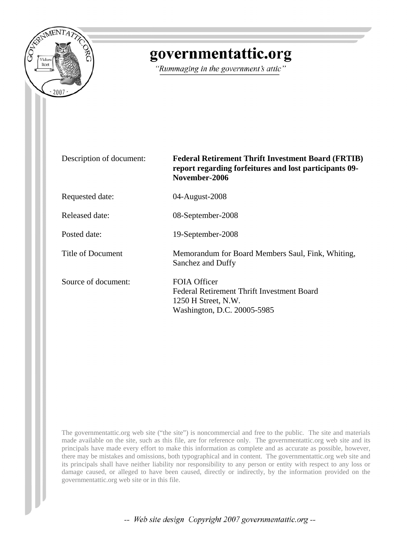

# governmentattic.org

"Rummaging in the government's attic"

| Description of document: | <b>Federal Retirement Thrift Investment Board (FRTIB)</b><br>report regarding forfeitures and lost participants 09-<br>November-2006 |
|--------------------------|--------------------------------------------------------------------------------------------------------------------------------------|
| Requested date:          | 04-August-2008                                                                                                                       |
| Released date:           | 08-September-2008                                                                                                                    |
| Posted date:             | 19-September-2008                                                                                                                    |
| Title of Document        | Memorandum for Board Members Saul, Fink, Whiting,<br>Sanchez and Duffy                                                               |
| Source of document:      | <b>FOIA Officer</b><br>Federal Retirement Thrift Investment Board<br>1250 H Street, N.W.<br>Washington, D.C. 20005-5985              |

The governmentattic.org web site ("the site") is noncommercial and free to the public. The site and materials made available on the site, such as this file, are for reference only. The governmentattic.org web site and its principals have made every effort to make this information as complete and as accurate as possible, however, there may be mistakes and omissions, both typographical and in content. The governmentattic.org web site and its principals shall have neither liability nor responsibility to any person or entity with respect to any loss or damage caused, or alleged to have been caused, directly or indirectly, by the information provided on the governmentattic.org web site or in this file.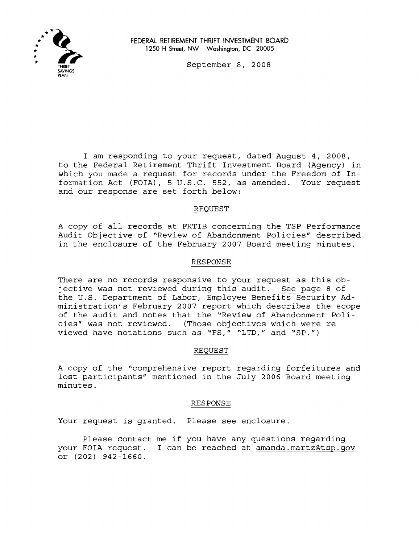

FEDERAL RETIREMENT THRIFT INVESTMENT BOARD 1250 H Street, NW Washington, DC 20005

September 8, 2008

I am responding to your request, dated August 4, 2008, to the Federal Retirement Thrift Investment Board (Agency) in which you made a request for records under the Freedom of Information Act (FOIA), 5 U.S.C. 552, as amended. Your request and our response are set forth below:

# REQUEST

<sup>A</sup> copy of all records at FRTIB concerning the TSP Performance Audit Objective of "Review of Abandonment Policies" described in the enclosure of the February 2007 Board meeting minutes.

### RESPONSE

There are no records responsive to your request as this objective was not reviewed during this audit. See page <sup>8</sup> of the U.S. Department of Labor, Employee Benefits Security Administration's February 2007 report which describes the scope of the audit and notes that the "Review of Abandonment Policies" was not reviewed. (Those objectives which were reviewed have notations such as "FS," "LTD," and "SP.")

### REQUEST

<sup>A</sup> copy of the "comprehensive report regarding forfeitures and lost participants" mentioned in the July 2006 Board meeting minutes.

### RESPONSE

Your request is granted. Please see enclosure.

Please contact me if you have any questions regarding your FOIA request. I can be reached at amanda.martz@tsp.gov or (202) 942-1660.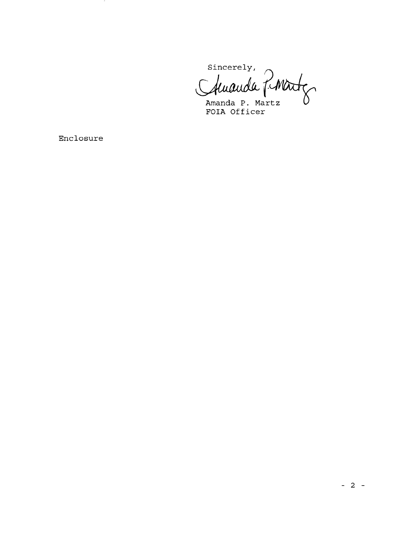Sincerely,  $\bigcap$ 

Chuanda Martz

**Formal P. Martz**<br>**FOIA Officer** 

**Enclosure**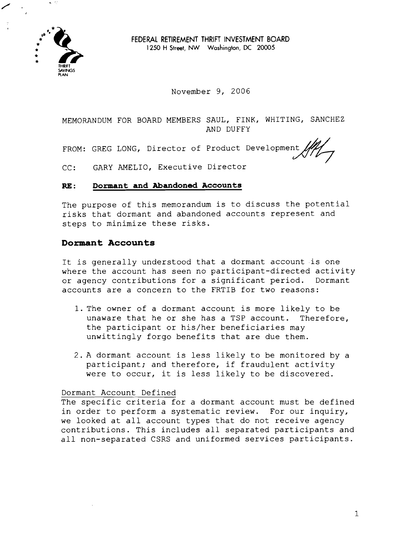

**FEDERAL RETIREMENT THRIFT INVESTMENT BOARD** 1250 H Street, NW Washington, DC 20005

November 9, 2006

MEMORANDUM FOR BOARD MEMBERS SAUL, FINK, WHITING, SANCHEZ AND DUFFY

FROM: GREG LONG, Director of Product Developmen

CC: GARY AMELIO, Executive Director

#### RE : **Dormant and Abandoned Accounts**

The purpose of this memorandum is to discuss the potential risks that dormant and abandoned accounts represent and steps to minimize these risks.

# **Dormant Accounts**

It is generally understood that a dormant account is one where the account has seen no participant-directed activity or agency contributions for a significant period. Dormant accounts are a concern to the FRTIB for two reasons:

- 1. The owner of a dormant account is more likely to be unaware that he or she has a TSP account. Therefore, the participant or his/her beneficiaries may unwittingly forgo benefits that are due them.
- 2. A dormant account is less likely to be monitored by a participant; and therefore, if fraudulent activity were to occur, it is less likely to be discovered.

## Dormant Account Defined

The specific criteria for a dormant account must be defined in order to perform a systematic review. For our inquiry, we looked at all account types that do not receive agency contributions. This includes all separated participants and all non-separated CSRS and uniformed services participants.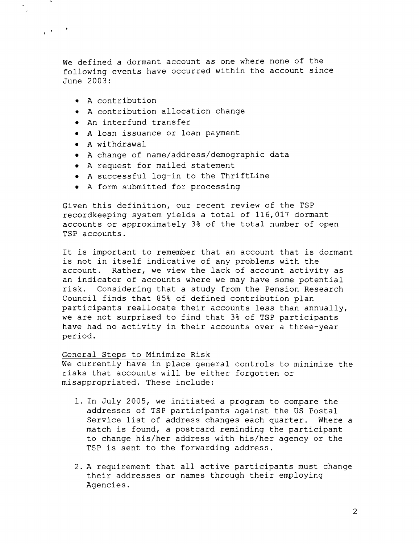We defined a dormant account as one where none of the following events have occurred within the account since June 2003:

• A contribution

 $\mathcal{L}(\mathbf{r}) = \mathbf{r}$ 

- • A contribution allocation change
- • An interfund transfer
- • A loan issuance or loan payment
- • A withdrawal
- • A change of name/address/demographic data
- • A request for mailed statement
- • A successful log-in to the ThriftLine
- • A form submitted for processing

Given this definition, our recent review of the TSP recordkeeping system yields a total of 116,017 dormant accounts or approximately 3% of the total number of open TSP accounts.

It is important to remember that an account that is dormant is not in itself indicative of any problems with the account. Rather, we view the lack of account activity as an indicator of accounts where we may have some potential risk. Considering that a study from the Pension Research Council finds that 85% of defined contribution plan participants reallocate their accounts less than annually, we are not surprised to find that 3% of TSP participants have had no activity in their accounts over a three-year period.

#### General Steps to Minimize Risk

We currently have in place general controls to minimize the risks that accounts will be either forgotten or misappropriated. These include:

- 1. In July 2005, we initiated a program to compare the addresses of TSP participants against the US Postal Service list of address changes each quarter. Where a match is found, a postcard reminding the participant to change his/her address with his/her agency or the TSP is sent to the forwarding address.
- 2. A requirement that all active participants must change their addresses or names through their employing Agencies.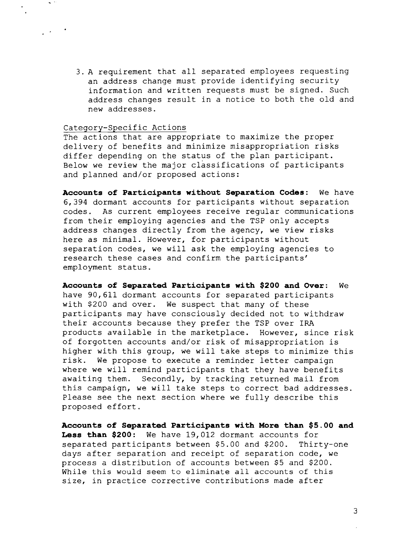3. A requirement that all separated employees requesting an address change must provide identifying security information and written requests must be signed. Such address changes result in a notice to both the old and new addresses.

#### Category-Specific Actions

.

The actions that are appropriate to maximize the proper delivery of benefits and minimize misappropriation risks differ depending on the status of the plan participant. Below we review the major classifications of participants and planned and/or proposed actions:

**Accounts of Participants without Separation Codes:** We have 6,394 dormant accounts for participants without separation codes. As current employees receive regular communications from their employing agencies and the TSP only accepts address changes directly from the agency, we view risks here as minimal. However, for participants without separation codes, we will ask the employing agencies to research these cases and confirm the participants' employment status.

**Accounts of Separated Participants with \$200 and Over:** We have 90,611 dormant accounts for separated participants with \$200 and over. We suspect that many of these participants may have consciously decided not to withdraw their accounts because they prefer the TSP over IRA products available in the marketplace. However, since risk of forgotten accounts and/or risk of misappropriation is higher with this group, we will take steps to minimize this risk. We propose to execute a reminder letter campaign where we will remind participants that they have benefits awaiting them. Secondly, by tracking returned mail from this campaign, we will take steps to correct bad addresses. Please see the next section where we fully describe this proposed effort.

**Accounts of Separated Participants with More than \$5.00 and Less than \$200:** We have 19,012 dormant accounts for separated participants between \$5.00 and \$200. Thirty-one days after separation and receipt of separation code, we process a distribution of accounts between \$5 and \$200. While this would seem to eliminate all accounts of this size, in practice corrective contributions made after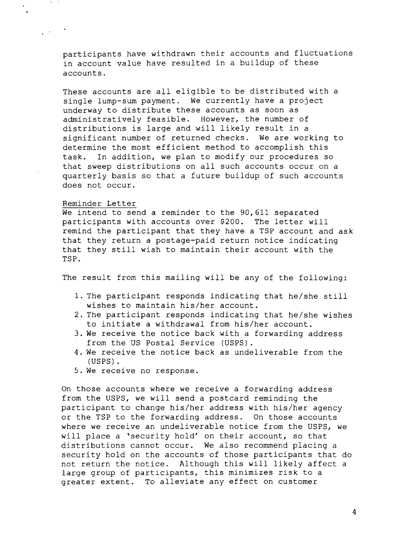participants have withdrawn their accounts and fluctuations in account value have resulted in a buildup of these accounts.

These accounts are all eligible to be distributed with a single lump-sum payment. We currently have a project underway to distribute these accounts as soon as administratively feasible. However, the number of distributions is large and will likely result in a significant number of returned checks. We are working to determine the most efficient method to accomplish this task. In addition, we plan to modify our procedures so that sweep distributions on all such accounts occur on a quarterly basis so that a future buildup of such accounts does not occur.

#### Reminder Letter

We intend to send a reminder to the 90,611 separated participants with accounts over \$200. The letter will remind the participant that they have a TSP account and ask that they return a postage-paid return notice indicating that they still wish to maintain their account with the TSP.

The result from this mailing will be any of the following:

- 1. The participant responds indicating that he/she still wishes to maintain his/her account.
- 2. The participant responds indicating that he/she wishes to initiate a withdrawal from his/her account.
- 3. We receive the notice back with a forwarding address from the US Postal Service (USPS).
- 4. We receive the notice back as undeliverable from the (USPS) .
- 5. We receive no response.

On those accounts where we receive a forwarding address from the USPS, we will send a postcard reminding the participant to change his/her address with his/her agency or the TSP to the forwarding address. On those accounts where we receive an undeliverable notice from the USPS, we will place a 'security hold' on their account, so that distributions cannot occur. We also recommend placing a security hold on the accounts of those participants that do not return the notice. Although this will likely affect a large group of participants, this minimizes risk to a greater extent. To alleviate any effect on customer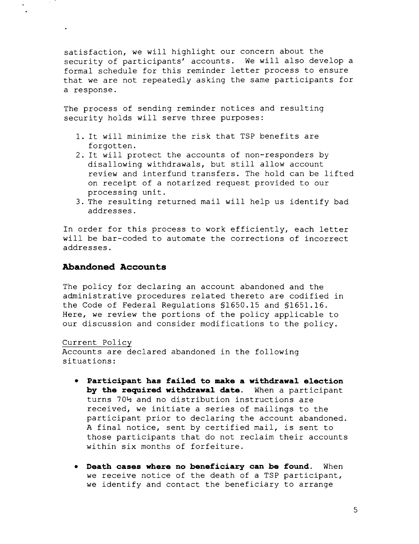satisfaction, we will highlight our concern about the security of participants' accounts. We will also develop a formal schedule for this reminder letter process to ensure that we are not repeatedly asking the same participants for a response.

The process of sending reminder notices and resulting security holds will serve three purposes:

- 1. It will minimize the risk that TSP benefits are forgotten.
- 2. It will protect the accounts of non-responders by disallowing withdrawals, but still allow account review and interfund transfers. The hold can be lifted on receipt of a notarized request provided to our processing unit.
- 3. The resulting returned mail will help us identify bad addresses.

In order for this process to work efficiently, each letter will be bar-coded to automate the corrections of incorrect addresses.

# **Abandoned Accounts**

The policy for declaring an account abandoned and the administrative procedures related thereto are codified in the Code of Federal Regulations §1650.15 and §1651.16. Here, we review the portions of the policy applicable to our discussion and consider modifications to the policy.

Current Policy Accounts are declared abandoned in the following situations:

- **• Participant has failed to make a withdrawal election by the required withdrawal date.** When a participant turns 70½ and no distribution instructions are received, we initiate a series of mailings to the participant prior to declaring the account abandoned. A final notice, sent by certified mail, is sent to those participants that do not reclaim their accounts within six months of forfeiture.
- **• Death cases where no beneficiary can be found.** When we receive notice of the death of a TSP participant, we identify and contact the beneficiary to arrange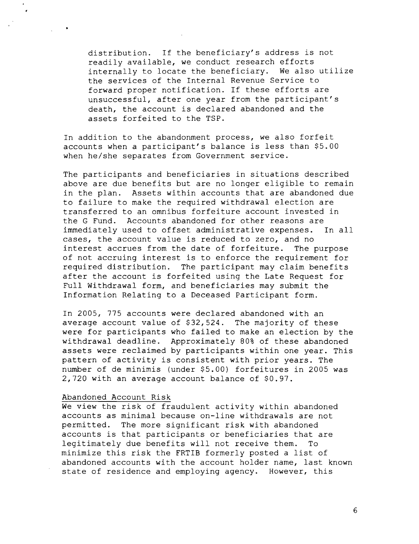distribution. If the beneficiary's address is not readily available, we conduct research efforts internally to locate the beneficiary. We also utilize the services of the Internal Revenue Service to forward proper notification. If these efforts are unsuccessful, after one year from the participant's death, the account is declared abandoned and the assets forfeited to the TSP.

In addition to the abandonment process, we also forfeit accounts when a participant's balance is less than \$5.00 when he/she separates from Government service.

The participants and beneficiaries in situations described above are due benefits but are no longer eligible to remain in the plan. Assets within accounts that are abandoned due to failure to make the required withdrawal election are transferred to an omnibus forfeiture account invested in the G Fund. Accounts abandoned for other reasons are immediately used to offset administrative expenses. In all cases, the account value is reduced to zero, and no<br>interest accrues from the date of forfeiture. The purpose interest accrues from the date of forfeiture. of not accruing interest is to enforce the requirement for required distribution. The participant may claim benefits after the account is forfeited using the Late Request for Full Withdrawal form, and beneficiaries may submit the Information Relating to a Deceased Participant form.

In 2005, 775 accounts were declared abandoned with an average account value of \$32,524. The majority of these were for participants who failed to make an election by the withdrawal deadline. Approximately 80% of these abandoned assets were reclaimed by participants within one year. This pattern of activity is consistent with prior years. The number of de minimis (under \$5.00) forfeitures in 2005 was 2,720 with an average account balance of \$0.97.

#### Abandoned Account Risk

We view the risk of fraudulent activity within abandoned accounts as minimal because on-line withdrawals are not permitted. The more significant risk with abandoned accounts is that participants or beneficiaries that are legitimately due benefits will not receive them. To minimize this risk the FRTIB formerly posted a list of abandoned accounts with the account holder name, last known state of residence and employing agency. However, this